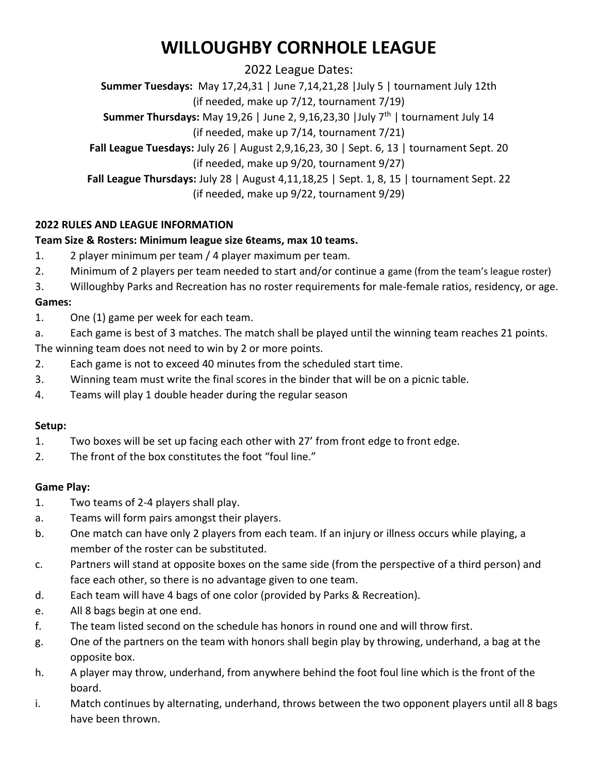# **WILLOUGHBY CORNHOLE LEAGUE**

2022 League Dates:

**Summer Tuesdays:** May 17,24,31 | June 7,14,21,28 |July 5 | tournament July 12th

(if needed, make up 7/12, tournament 7/19)

**Summer Thursdays:** May 19,26 | June 2, 9,16,23,30 | July 7<sup>th</sup> | tournament July 14

(if needed, make up 7/14, tournament 7/21)

**Fall League Tuesdays:** July 26 | August 2,9,16,23, 30 | Sept. 6, 13 | tournament Sept. 20 (if needed, make up 9/20, tournament 9/27)

**Fall League Thursdays:** July 28 | August 4,11,18,25 | Sept. 1, 8, 15 | tournament Sept. 22 (if needed, make up 9/22, tournament 9/29)

### **2022 RULES AND LEAGUE INFORMATION**

### **Team Size & Rosters: Minimum league size 6teams, max 10 teams.**

- 1. 2 player minimum per team / 4 player maximum per team.
- 2. Minimum of 2 players per team needed to start and/or continue a game (from the team's league roster)
- 3. Willoughby Parks and Recreation has no roster requirements for male-female ratios, residency, or age.

#### **Games:**

- 1. One (1) game per week for each team.
- a. Each game is best of 3 matches. The match shall be played until the winning team reaches 21 points.

The winning team does not need to win by 2 or more points.

- 2. Each game is not to exceed 40 minutes from the scheduled start time.
- 3. Winning team must write the final scores in the binder that will be on a picnic table.
- 4. Teams will play 1 double header during the regular season

#### **Setup:**

- 1. Two boxes will be set up facing each other with 27' from front edge to front edge.
- 2. The front of the box constitutes the foot "foul line."

#### **Game Play:**

- 1. Two teams of 2-4 players shall play.
- a. Teams will form pairs amongst their players.
- b. One match can have only 2 players from each team. If an injury or illness occurs while playing, a member of the roster can be substituted.
- c. Partners will stand at opposite boxes on the same side (from the perspective of a third person) and face each other, so there is no advantage given to one team.
- d. Each team will have 4 bags of one color (provided by Parks & Recreation).
- e. All 8 bags begin at one end.
- f. The team listed second on the schedule has honors in round one and will throw first.
- g. One of the partners on the team with honors shall begin play by throwing, underhand, a bag at the opposite box.
- h. A player may throw, underhand, from anywhere behind the foot foul line which is the front of the board.
- i. Match continues by alternating, underhand, throws between the two opponent players until all 8 bags have been thrown.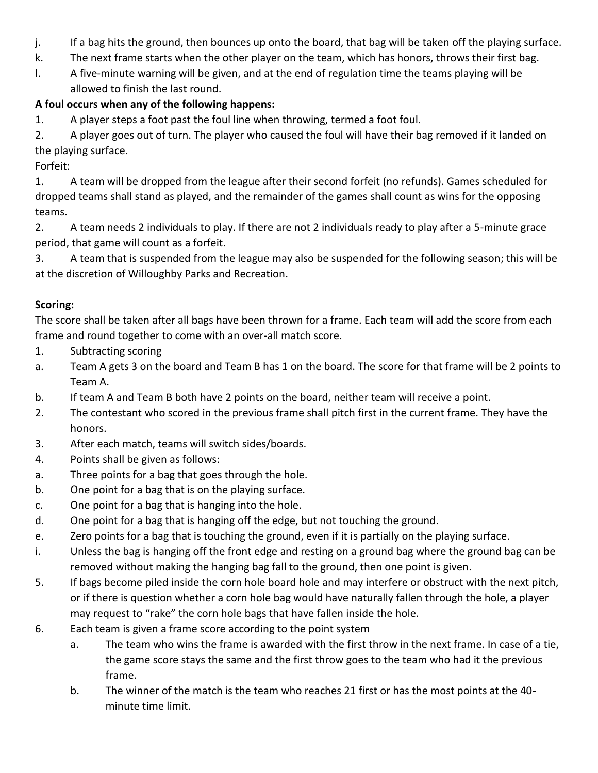- j. If a bag hits the ground, then bounces up onto the board, that bag will be taken off the playing surface.
- k. The next frame starts when the other player on the team, which has honors, throws their first bag.
- l. A five-minute warning will be given, and at the end of regulation time the teams playing will be allowed to finish the last round.

# **A foul occurs when any of the following happens:**

1. A player steps a foot past the foul line when throwing, termed a foot foul.

2. A player goes out of turn. The player who caused the foul will have their bag removed if it landed on the playing surface.

Forfeit:

1. A team will be dropped from the league after their second forfeit (no refunds). Games scheduled for dropped teams shall stand as played, and the remainder of the games shall count as wins for the opposing teams.

2. A team needs 2 individuals to play. If there are not 2 individuals ready to play after a 5-minute grace period, that game will count as a forfeit.

3. A team that is suspended from the league may also be suspended for the following season; this will be at the discretion of Willoughby Parks and Recreation.

# **Scoring:**

The score shall be taken after all bags have been thrown for a frame. Each team will add the score from each frame and round together to come with an over-all match score.

- 1. Subtracting scoring
- a. Team A gets 3 on the board and Team B has 1 on the board. The score for that frame will be 2 points to Team A.
- b. If team A and Team B both have 2 points on the board, neither team will receive a point.
- 2. The contestant who scored in the previous frame shall pitch first in the current frame. They have the honors.
- 3. After each match, teams will switch sides/boards.
- 4. Points shall be given as follows:
- a. Three points for a bag that goes through the hole.
- b. One point for a bag that is on the playing surface.
- c. One point for a bag that is hanging into the hole.
- d. One point for a bag that is hanging off the edge, but not touching the ground.
- e. Zero points for a bag that is touching the ground, even if it is partially on the playing surface.
- i. Unless the bag is hanging off the front edge and resting on a ground bag where the ground bag can be removed without making the hanging bag fall to the ground, then one point is given.
- 5. If bags become piled inside the corn hole board hole and may interfere or obstruct with the next pitch, or if there is question whether a corn hole bag would have naturally fallen through the hole, a player may request to "rake" the corn hole bags that have fallen inside the hole.
- 6. Each team is given a frame score according to the point system
	- a. The team who wins the frame is awarded with the first throw in the next frame. In case of a tie, the game score stays the same and the first throw goes to the team who had it the previous frame.
	- b. The winner of the match is the team who reaches 21 first or has the most points at the 40 minute time limit.